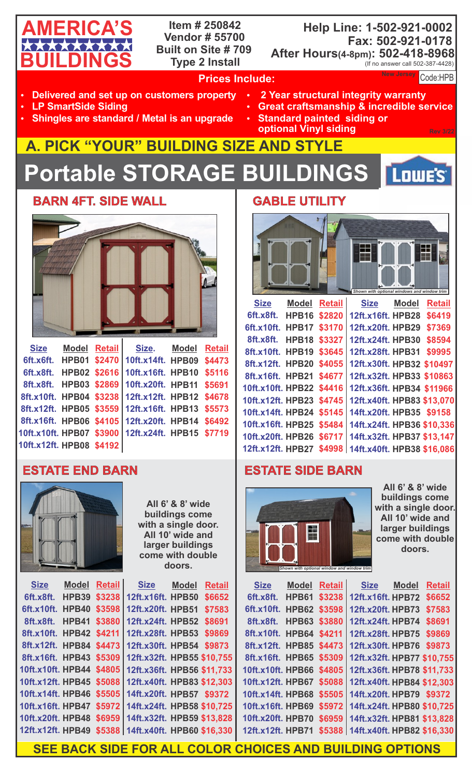# **AMERICA'S BUILDINGS**

**Item # 250842 Vendor # 55700 Built on Site # 709 Type 2 Install**

### **Help Line: 1-502-921-0002 Fax: 502-921-0178 After Hours(4-8pm): 502-418-8968** (If no answer call 502-387-4428)

New Jersey Code:

**AMERICA'S**

Low<sub>E</sub>'s

## **Prices Include:**

- **Delivered and set up on customers property**
- **LP SmartSide Siding**
- **Shingles are standard / Metal is an upgrade**
- **2 Year structural integrity warranty** 
	- **Great craftsmanship & incredible service**
	- **Standard painted siding or optional Vinyl siding**

## **A. PICK "YOUR" BUILDING SIZE AND STYLE Portable STORAGE BUILDINGS**

**BARN 4FT. SIDE WALL** 



|                          |  | Size Model Retail Size. Model Retail              |  |
|--------------------------|--|---------------------------------------------------|--|
|                          |  | 6ft.x6ft. HPB01 \$2470 10ft.x14ft. HPB09 \$4473   |  |
|                          |  | 6ft.x8ft. HPB02 \$2616 10ft.x16ft. HPB10 \$5116   |  |
|                          |  | 8ft.x8ft. HPB03 \$2869 10ft.x20ft. HPB11 \$5691   |  |
|                          |  | 8ft.x10ft. HPB04 \$3238 12ft.x12ft. HPB12 \$4678  |  |
|                          |  | 8ft.x12ft. HPB05 \$3559 12ft.x16ft. HPB13 \$5573  |  |
|                          |  | 8ft.x16ft. HPB06 \$4105 12ft.x20ft. HPB14 \$6492  |  |
|                          |  | 10ft.x10ft. HPB07 \$3900 12ft.x24ft. HPB15 \$7719 |  |
| 10ft.x12ft. HPB08 \$4192 |  |                                                   |  |



| All 6' & 8' wide    |  |  |  |  |
|---------------------|--|--|--|--|
| buildings come      |  |  |  |  |
| with a single door. |  |  |  |  |
| All 10' wide and    |  |  |  |  |
| larger buildings    |  |  |  |  |
| come with double    |  |  |  |  |
| doors.              |  |  |  |  |
|                     |  |  |  |  |

| <b>Size</b>              | <b>Model</b>        | <b>Retail</b> | <b>Size</b>                                           | <b>Model</b> | <b>Retail</b> |
|--------------------------|---------------------|---------------|-------------------------------------------------------|--------------|---------------|
| 6ft.x8ft.                | HPB39               | \$3238        | 12ft.x16ft. HPB50                                     |              | \$6652        |
| 6ft.x10ft.               | HPB40               | \$3598        | 12ft.x20ft. HPB51                                     |              | \$7583        |
| 8ft.x8ft.                | <b>HPB41 \$3880</b> |               | 12ft.x24ft. HPB52                                     |              | \$8691        |
| 8ft.x10ft. HPB42 \$4211  |                     |               | 12ft.x28ft. HPB53                                     |              | \$9869        |
| 8ft.x12ft. HPB84 \$4473  |                     |               | 12ft.x30ft. HPB54 \$9873                              |              |               |
| 8ft.x16ft. HPB43 \$5309  |                     |               | 12ft.x32ft. HPB55 \$10,755                            |              |               |
|                          |                     |               | 10ft.x10ft. HPB44 \$4805   12ft.x36ft. HPB56 \$11,733 |              |               |
| 10ft.x12ft. HPB45 \$5088 |                     |               | 12ft.x40ft. HPB83 \$12,303                            |              |               |
| 10ft.x14ft. HPB46        |                     |               | \$5505   14ft.x20ft. HPB57 \$9372                     |              |               |
|                          |                     |               | 10ft.x16ft. HPB47 \$5972   14ft.x24ft. HPB58 \$10,725 |              |               |
| 10ft.x20ft. HPB48        |                     |               | \$6959   14ft.x32ft. HPB59 \$13,828                   |              |               |
| 12ft.x12ft. HPB49        |                     |               | \$5388 14ft.x40ft. HPB60 \$16,330                     |              |               |

## **GABLE UTILITY**



| <b>Size</b>              | <b>Model Retail</b> | <b>Size</b>                | <b>Model</b> | <b>Retail</b> |
|--------------------------|---------------------|----------------------------|--------------|---------------|
| 6ft.x8ft.                | <b>HPB16 \$2820</b> | 12ft.x16ft. HPB28          |              | \$6419        |
| 6ft.x10ft.               | <b>HPB17 \$3170</b> | 12ft.x20ft. HPB29          |              | \$7369        |
| 8ft.x8ft.                | <b>HPB18 \$3327</b> | 12ft.x24ft. HPB30          |              | \$8594        |
| 8ft.x10ft.               | <b>HPB19 \$3645</b> | 12ft.x28ft. HPB31          |              | \$9995        |
| 8ft.x12ft. HPB20 \$4055  |                     | 12ft.x30ft. HPB32 \$10497  |              |               |
| 8ft.x16ft. HPB21 \$4677  |                     | 12ft.x32ft. HPB33 \$10863  |              |               |
| 10ft.x10ft. HPB22 \$4416 |                     | 12ft.x36ft. HPB34 \$11966  |              |               |
| 10ft.x12ft. HPB23 \$4745 |                     | 12ft.x40ft. HPB83 \$13,070 |              |               |
| 10ft.x14ft. HPB24 \$5145 |                     | 14ft.x20ft. HPB35 \$9158   |              |               |
| 10ft.x16ft. HPB25 \$5484 |                     | 14ft.x24ft. HPB36 \$10,336 |              |               |
| 10ft.x20ft. HPB26 \$6717 |                     | 14ft.x32ft. HPB37 \$13,147 |              |               |
| 12ft.x12ft. HPB27 \$4998 |                     | 14ft.x40ft. HPB38 \$16,086 |              |               |
|                          |                     |                            |              |               |

## **ESTATE END BARN FRAME RESTATE SIDE BARN**



**All 6' & 8' wide buildings come with a single door. All 10' wide and larger buildings come with double doors.**

| <b>Size</b>       | <b>Model</b> | <b>Retail</b> |
|-------------------|--------------|---------------|
| 6ft.x8ft.         | <b>HPB61</b> | \$3238        |
| 6ft.x10ft.        | <b>HPB62</b> | \$3598        |
| 8ft.x8ft.         | HPB63        | \$3880        |
| 8ft.x10ft.        | <b>HPB64</b> | \$4211        |
| 8ft.x12ft.        | <b>HPB85</b> | \$4473        |
| 8ft.x16ft.        | <b>HPB65</b> | \$5309        |
| 10ft.x10ft. HPB66 |              | \$4805        |
| 10ft.x12ft. HPB67 |              | \$5088        |
| 10ft.x14ft. HPB68 |              | \$5505        |
| 10ft.x16ft. HPB69 |              | \$5972        |
| 10ft.x20ft. HPB70 |              | \$6959        |
| 12ft.x12ft. HPB71 |              | \$5388        |

| il                      |                            | Size Model | <b>Retail</b> |
|-------------------------|----------------------------|------------|---------------|
| 8                       | 12ft.x16ft. HPB72          |            | \$6652        |
| 8                       | 12ft.x20ft. HPB73          |            | \$7583        |
| $\overline{\mathbf{0}}$ | 12ft.x24ft.HPB74           |            | \$8691        |
| $\overline{1}$          | 12ft.x28ft. HPB75          |            | \$9869        |
| $\overline{\mathbf{3}}$ | 12ft.x30ft. HPB76          |            | \$9873        |
| 9                       | 12ft.x32ft. HPB77 \$10,755 |            |               |
| 5                       | 12ft.x36ft. HPB78 \$11,733 |            |               |
| 8                       | 12ft.x40ft. HPB84 \$12,303 |            |               |
| 5                       | 14ft.x20ft.HPB79 \$9372    |            |               |
| $\overline{2}$          | 14ft.x24ft. HPB80 \$10,725 |            |               |
| 9                       | 14ft.x32ft. HPB81 \$13,828 |            |               |
| 8                       | 14ft.x40ft. HPB82 \$16,330 |            |               |
|                         |                            |            |               |

**SEE BACK SIDE FOR ALL COLOR CHOICES AND BUILDING OPTIONS**